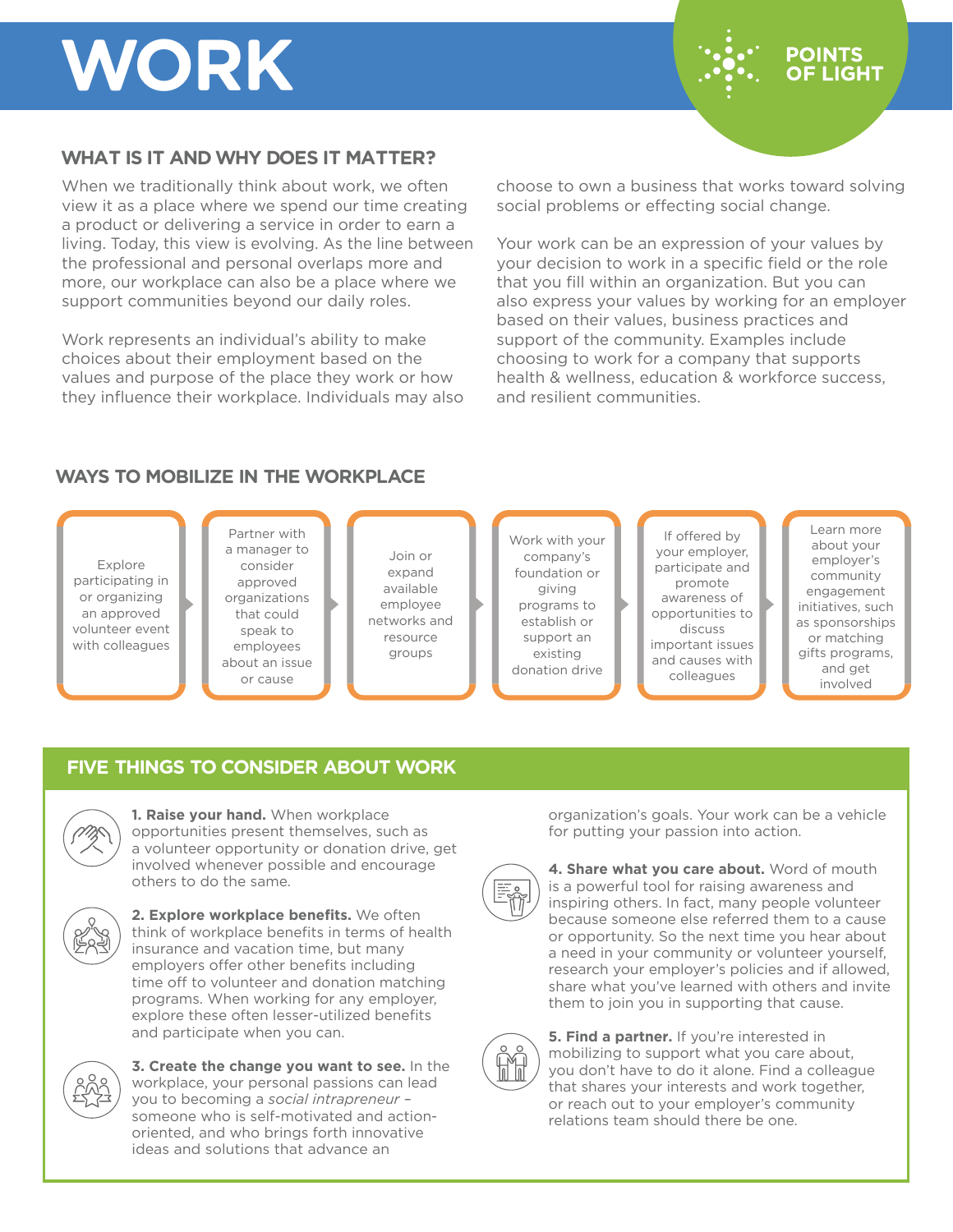# **WORK**

## **POINTS OF LIGHT**

## **WHAT IS IT AND WHY DOES IT MATTER?**

When we traditionally think about work, we often view it as a place where we spend our time creating a product or delivering a service in order to earn a living. Today, this view is evolving. As the line between the professional and personal overlaps more and more, our workplace can also be a place where we support communities beyond our daily roles.

Work represents an individual's ability to make choices about their employment based on the values and purpose of the place they work or how they influence their workplace. Individuals may also choose to own a business that works toward solving social problems or effecting social change.

Your work can be an expression of your values by your decision to work in a specific field or the role that you fill within an organization. But you can also express your values by working for an employer based on their values, business practices and support of the community. Examples include choosing to work for a company that supports health & wellness, education & workforce success, and resilient communities.

#### **WAYS TO MOBILIZE IN THE WORKPLACE**

Explore participating in or organizing an approved volunteer event with colleagues

Partner with a manager to consider approved organizations that could speak to employees about an issue or cause

Join or expand available employee networks and resource groups

Work with your company's foundation or giving programs to establish or support an existing donation drive

If offered by your employer, participate and promote awareness of opportunities to discuss important issues and causes with colleagues

Learn more about your employer's community engagement initiatives, such as sponsorships or matching gifts programs, and get involved

### **FIVE THINGS TO CONSIDER ABOUT WORK**



**1. Raise your hand.** When workplace opportunities present themselves, such as a volunteer opportunity or donation drive, get involved whenever possible and encourage others to do the same.



**2. Explore workplace benefits.** We often think of workplace benefits in terms of health insurance and vacation time, but many employers offer other benefits including time off to volunteer and donation matching programs. When working for any employer, explore these often lesser-utilized benefits and participate when you can.



**3. Create the change you want to see.** In the workplace, your personal passions can lead you to becoming a *social intrapreneur* – someone who is self-motivated and actionoriented, and who brings forth innovative ideas and solutions that advance an

organization's goals. Your work can be a vehicle for putting your passion into action.



**4. Share what you care about.** Word of mouth is a powerful tool for raising awareness and inspiring others. In fact, many people volunteer because someone else referred them to a cause or opportunity. So the next time you hear about a need in your community or volunteer yourself, research your employer's policies and if allowed, share what you've learned with others and invite them to join you in supporting that cause.



**5. Find a partner.** If you're interested in mobilizing to support what you care about, you don't have to do it alone. Find a colleague that shares your interests and work together, or reach out to your employer's community relations team should there be one.